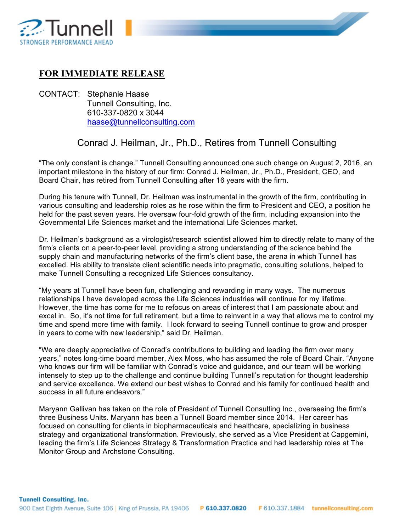

## **FOR IMMEDIATE RELEASE**

CONTACT: Stephanie Haase Tunnell Consulting, Inc. 610-337-0820 x 3044 haase@tunnellconsulting.com

## Conrad J. Heilman, Jr., Ph.D., Retires from Tunnell Consulting

"The only constant is change." Tunnell Consulting announced one such change on August 2, 2016, an important milestone in the history of our firm: Conrad J. Heilman, Jr., Ph.D., President, CEO, and Board Chair, has retired from Tunnell Consulting after 16 years with the firm.

During his tenure with Tunnell, Dr. Heilman was instrumental in the growth of the firm, contributing in various consulting and leadership roles as he rose within the firm to President and CEO, a position he held for the past seven years. He oversaw four-fold growth of the firm, including expansion into the Governmental Life Sciences market and the international Life Sciences market.

Dr. Heilman's background as a virologist/research scientist allowed him to directly relate to many of the firm's clients on a peer-to-peer level, providing a strong understanding of the science behind the supply chain and manufacturing networks of the firm's client base, the arena in which Tunnell has excelled. His ability to translate client scientific needs into pragmatic, consulting solutions, helped to make Tunnell Consulting a recognized Life Sciences consultancy.

"My years at Tunnell have been fun, challenging and rewarding in many ways. The numerous relationships I have developed across the Life Sciences industries will continue for my lifetime. However, the time has come for me to refocus on areas of interest that I am passionate about and excel in. So, it's not time for full retirement, but a time to reinvent in a way that allows me to control my time and spend more time with family. I look forward to seeing Tunnell continue to grow and prosper in years to come with new leadership," said Dr. Heilman.

"We are deeply appreciative of Conrad's contributions to building and leading the firm over many years," notes long-time board member, Alex Moss, who has assumed the role of Board Chair. "Anyone who knows our firm will be familiar with Conrad's voice and guidance, and our team will be working intensely to step up to the challenge and continue building Tunnell's reputation for thought leadership and service excellence. We extend our best wishes to Conrad and his family for continued health and success in all future endeavors."

Maryann Gallivan has taken on the role of President of Tunnell Consulting Inc., overseeing the firm's three Business Units. Maryann has been a Tunnell Board member since 2014. Her career has focused on consulting for clients in biopharmaceuticals and healthcare, specializing in business strategy and organizational transformation. Previously, she served as a Vice President at Capgemini, leading the firm's Life Sciences Strategy & Transformation Practice and had leadership roles at The Monitor Group and Archstone Consulting.